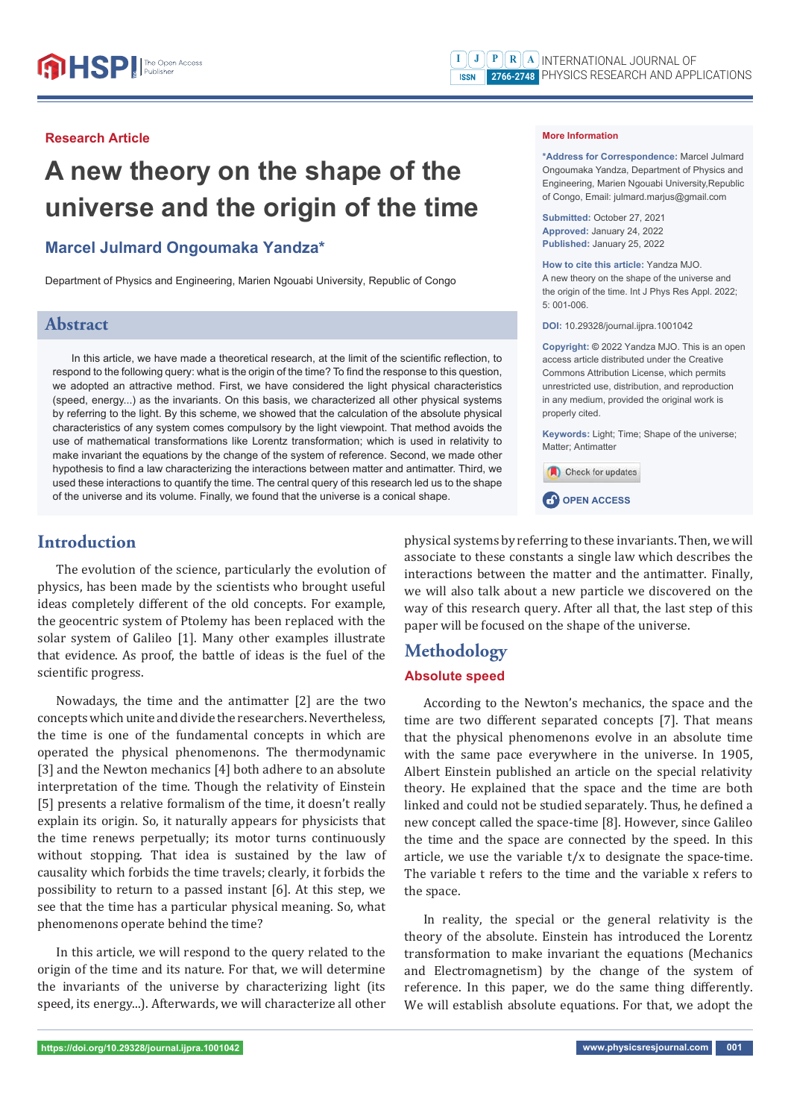**Submitted:** October 27, 2021 **Approved:** January 24, 2022 **Published:** January 25, 2022

**How to cite this article:** Yandza MJO. A new theory on the shape of the universe and the origin of the time. Int J Phys Res Appl. 2022;

**DOI:** 10.29328/journal.ijpra.1001042

**Copyright: ©** 2022 Yandza MJO. This is an open access article distributed under the Creative Commons Attribution License, which permits unrestricted use, distribution, and reproduction in any medium, provided the original work is

**Keywords:** Light; Time; Shape of the universe;

**\*Address for Correspondence:** Marcel Julmard Ongoumaka Yandza, Department of Physics and Engineering, Marien Ngouabi University,Republic of Congo, Email: julmard.marjus@gmail.com

**More Information** 

5: 001-006.

properly cited.

Matter; Antimatter

**CP** OPEN ACCESS

Check for updates

#### **Research Article**

# **A new theory on the shape of the universe and the origin of the time**

## **Marcel Julmard Ongoumaka Yandza\***

Department of Physics and Engineering, Marien Ngouabi University, Republic of Congo

## **Abstract**

In this article, we have made a theoretical research, at the limit of the scientific reflection, to respond to the following query: what is the origin of the time? To find the response to this question, we adopted an attractive method. First, we have considered the light physical characteristics (speed, energy...) as the invariants. On this basis, we characterized all other physical systems by referring to the light. By this scheme, we showed that the calculation of the absolute physical characteristics of any system comes compulsory by the light viewpoint. That method avoids the use of mathematical transformations like Lorentz transformation; which is used in relativity to make invariant the equations by the change of the system of reference. Second, we made other hypothesis to find a law characterizing the interactions between matter and antimatter. Third, we used these interactions to quantify the time. The central query of this research led us to the shape of the universe and its volume. Finally, we found that the universe is a conical shape.

## **Introduction**

The evolution of the science, particularly the evolution of physics, has been made by the scientists who brought useful ideas completely different of the old concepts. For example, the geocentric system of Ptolemy has been replaced with the solar system of Galileo [1]. Many other examples illustrate that evidence. As proof, the battle of ideas is the fuel of the scientific progress.

Nowadays, the time and the antimatter [2] are the two concepts which unite and divide the researchers. Nevertheless, the time is one of the fundamental concepts in which are operated the physical phenomenons. The thermodynamic [3] and the Newton mechanics [4] both adhere to an absolute interpretation of the time. Though the relativity of Einstein [5] presents a relative formalism of the time, it doesn't really explain its origin. So, it naturally appears for physicists that the time renews perpetually; its motor turns continuously without stopping. That idea is sustained by the law of causality which forbids the time travels; clearly, it forbids the possibility to return to a passed instant [6]. At this step, we see that the time has a particular physical meaning. So, what phenomenons operate behind the time?

In this article, we will respond to the query related to the origin of the time and its nature. For that, we will determine the invariants of the universe by characterizing light (its speed, its energy...). Afterwards, we will characterize all other physical systems by referring to these invariants. Then, we will associate to these constants a single law which describes the interactions between the matter and the antimatter. Finally, we will also talk about a new particle we discovered on the way of this research query. After all that, the last step of this paper will be focused on the shape of the universe.

## **Methodology**

## **Absolute speed**

According to the Newton's mechanics, the space and the time are two different separated concepts [7]. That means that the physical phenomenons evolve in an absolute time with the same pace everywhere in the universe. In 1905, Albert Einstein published an article on the special relativity theory. He explained that the space and the time are both linked and could not be studied separately. Thus, he defined a new concept called the space-time [8]. However, since Galileo the time and the space are connected by the speed. In this article, we use the variable t/x to designate the space-time. The variable t refers to the time and the variable x refers to the space.

In reality, the special or the general relativity is the theory of the absolute. Einstein has introduced the Lorentz transformation to make invariant the equations (Mechanics and Electromagnetism) by the change of the system of reference. In this paper, we do the same thing differently. We will establish absolute equations. For that, we adopt the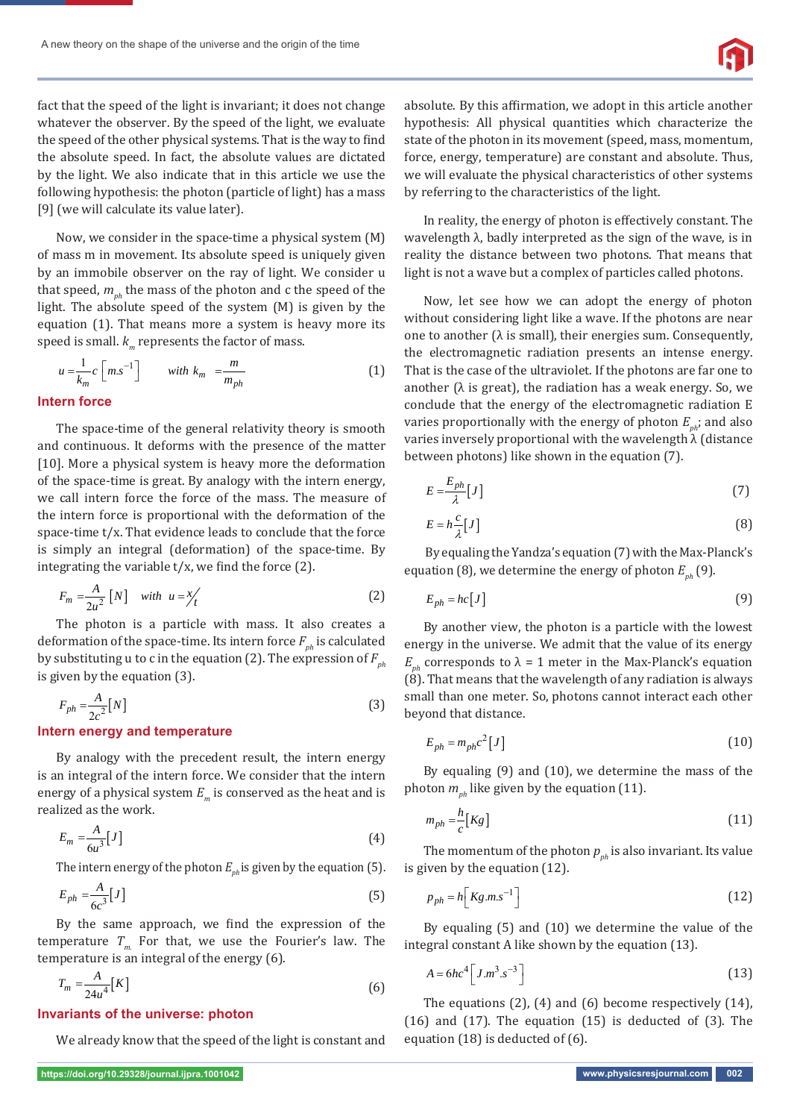

fact that the speed of the light is invariant; it does not change whatever the observer. By the speed of the light, we evaluate the speed of the other physical systems. That is the way to find the absolute speed. In fact, the absolute values are dictated by the light. We also indicate that in this article we use the following hypothesis: the photon (particle of light) has a mass [9] (we will calculate its value later).

Now, we consider in the space-time a physical system (M) of mass m in movement. Its absolute speed is uniquely given by an immobile observer on the ray of light. We consider u that speed,  $m_{ph}$  the mass of the photon and c the speed of the light. The absolute speed of the system (M) is given by the equation (1). That means more a system is heavy more its speed is small.  $k_m$  represents the factor of mass.

$$
u = \frac{1}{k_m} c \left[ m.s^{-1} \right] \qquad \text{with } k_m = \frac{m}{m_{ph}} \tag{1}
$$

#### **Intern force**

The space-time of the general relativity theory is smooth and continuous. It deforms with the presence of the matter [10]. More a physical system is heavy more the deformation of the space-time is great. By analogy with the intern energy, we call intern force the force of the mass. The measure of the intern force is proportional with the deformation of the space-time t/x. That evidence leads to conclude that the force is simply an integral (deformation) of the space-time. By integrating the variable t/x, we find the force (2).

$$
F_m = \frac{A}{2u^2} \left[ N \right] \quad \text{with} \quad u = \frac{x}{t} \tag{2}
$$

The photon is a particle with mass. It also creates a deformation of the space-time. Its intern force  $F_{ph}$  is calculated by substituting u to c in the equation (2). The expression of  $F_{ph}$ is given by the equation (3).

$$
F_{ph} = \frac{A}{2c^2} [N] \tag{3}
$$

#### **Intern energy and temperature**

By analogy with the precedent result, the intern energy is an integral of the intern force. We consider that the intern energy of a physical system  $E_m$  is conserved as the heat and is realized as the work.

$$
E_m = \frac{A}{6u^3} [J] \tag{4}
$$

The intern energy of the photon  $E_{nk}$  is given by the equation (5).

$$
E_{ph} = \frac{A}{6c^3} [J] \tag{5}
$$

By the same approach, we find the expression of the temperature  $T_m$  For that, we use the Fourier's law. The temperature is an integral of the energy (6).

$$
T_m = \frac{A}{24u^4} [K] \tag{6}
$$

#### **Invariants of the universe: photon**

We already know that the speed of the light is constant and

absolute. By this affirmation, we adopt in this article another hypothesis: All physical quantities which characterize the state of the photon in its movement (speed, mass, momentum, force, energy, temperature) are constant and absolute. Thus, we will evaluate the physical characteristics of other systems by referring to the characteristics of the light.

In reality, the energy of photon is effectively constant. The wavelength  $\lambda$ , badly interpreted as the sign of the wave, is in reality the distance between two photons. That means that light is not a wave but a complex of particles called photons.

Now, let see how we can adopt the energy of photon without considering light like a wave. If the photons are near one to another ( $\lambda$  is small), their energies sum. Consequently, the electromagnetic radiation presents an intense energy. That is the case of the ultraviolet. If the photons are far one to another ( $\lambda$  is great), the radiation has a weak energy. So, we conclude that the energy of the electromagnetic radiation E varies proportionally with the energy of photon  $E_{\mu\nu}$ ; and also varies inversely proportional with the wavelength λ (distance between photons) like shown in the equation (7).

$$
E = \frac{E_{ph}}{\lambda} \left[ J \right] \tag{7}
$$

$$
E = h \frac{c}{\lambda} [J] \tag{8}
$$

By equaling the Yandza's equation (7) with the Max-Planck's equation (8), we determine the energy of photon  $E_{nh}$  (9).

$$
E_{ph} = hc[J] \tag{9}
$$

By another view, the photon is a particle with the lowest energy in the universe. We admit that the value of its energy *E<sub>nh</sub>* corresponds to  $λ = 1$  meter in the Max-Planck's equation (8). That means that the wavelength of any radiation is always small than one meter. So, photons cannot interact each other beyond that distance.

$$
E_{ph} = m_{ph}c^2[J] \tag{10}
$$

By equaling (9) and (10), we determine the mass of the photon  $m_{nb}$  like given by the equation (11).

$$
m_{ph} = \frac{h}{c} [Kg]
$$
 (11)

The momentum of the photon  $p_{nh}$  is also invariant. Its value is given by the equation (12).

$$
p_{ph} = h \left[ Kg.m.s^{-1} \right] \tag{12}
$$

By equaling (5) and (10) we determine the value of the integral constant A like shown by the equation (13).

$$
A = 6hc^4 \left[ J.m^3.s^{-3} \right]
$$
 (13)

The equations (2), (4) and (6) become respectively (14), (16) and (17). The equation (15) is deducted of (3). The equation (18) is deducted of (6).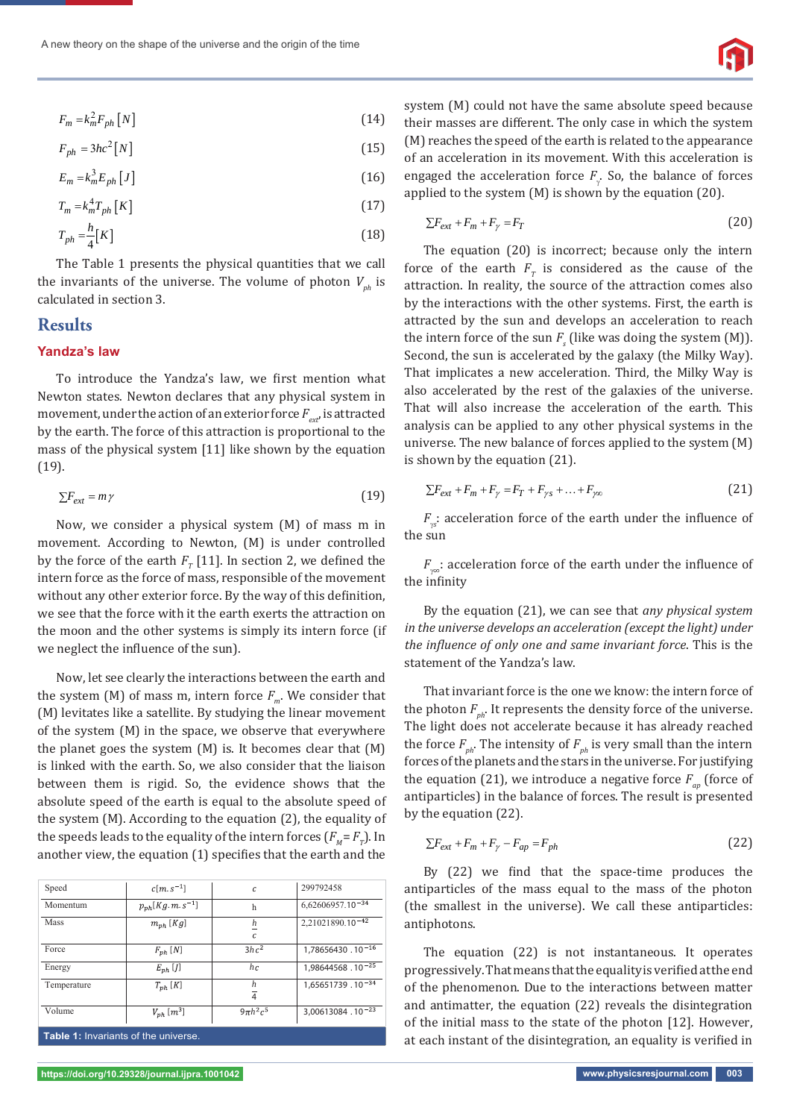$$
F_m = k_m^2 F_{ph} [N] \tag{14}
$$

$$
F_{ph} = 3hc^2[N] \tag{15}
$$

$$
E_m = k_m^3 E_{ph} [J] \tag{16}
$$

$$
T_m = k_m^4 T_{ph} \left[ K \right] \tag{17}
$$

$$
T_{ph} = \frac{h}{4} [K] \tag{18}
$$

The Table 1 presents the physical quantities that we call the invariants of the universe. The volume of photon  $V_{ph}$  is calculated in section 3.

## **Results**

#### **Yandza's law**

To introduce the Yandza's law, we first mention what Newton states. Newton declares that any physical system in movement, under the action of an exterior force  $F_{\alpha\beta}$  is attracted by the earth. The force of this attraction is proportional to the mass of the physical system [11] like shown by the equation (19).

$$
\sum F_{ext} = m\,\gamma \tag{19}
$$

Now, we consider a physical system (M) of mass m in movement. According to Newton, (M) is under controlled by the force of the earth  $F_T$  [11]. In section 2, we defined the intern force as the force of mass, responsible of the movement without any other exterior force. By the way of this definition, we see that the force with it the earth exerts the attraction on the moon and the other systems is simply its intern force (if we neglect the influence of the sun).

Now, let see clearly the interactions between the earth and the system  $(M)$  of mass m, intern force  $F_m$ . We consider that (M) levitates like a satellite. By studying the linear movement of the system (M) in the space, we observe that everywhere the planet goes the system (M) is. It becomes clear that (M) is linked with the earth. So, we also consider that the liaison between them is rigid. So, the evidence shows that the absolute speed of the earth is equal to the absolute speed of the system (M). According to the equation (2), the equality of the speeds leads to the equality of the intern forces  $(F_M = F_T)$ . In another view, the equation (1) specifies that the earth and the

| Speed                                | $c[m,s^{-1}]$                    | $\mathcal{C}_{0}$   | 299792458                    |
|--------------------------------------|----------------------------------|---------------------|------------------------------|
| Momentum                             | $p_{ph}$ [Kg.m.s <sup>-1</sup> ] | h                   | $6,62606957.10^{-34}$        |
| <b>Mass</b>                          | $m_{ph}$ [Kg]                    | h<br>$\mathcal{C}$  | 2,21021890.10 <sup>-42</sup> |
| Force                                | $F_{nh}$ [N]                     | $3hc^2$             | $1,78656430.10^{-16}$        |
| Energy                               | $E_{ph}$ [J]                     | hc                  | $1,98644568.10^{-25}$        |
| Temperature                          | $T_{nh}$ [K]                     | h<br>$\overline{4}$ | 1,65651739.10 <sup>-34</sup> |
| Volume                               | $V_{nh}$ [ $m^3$ ]               | $9\pi h^2c^5$       | 3,00613084.10 <sup>-23</sup> |
| Table 1: Invariants of the universe. |                                  |                     |                              |

system (M) could not have the same absolute speed because their masses are different. The only case in which the system (M) reaches the speed of the earth is related to the appearance of an acceleration in its movement. With this acceleration is engaged the acceleration force  $F_{\gamma}$ . So, the balance of forces applied to the system (M) is shown by the equation (20).

$$
\sum F_{ext} + F_m + F_\gamma = F_T \tag{20}
$$

The equation (20) is incorrect; because only the intern force of the earth  $F<sub>r</sub>$  is considered as the cause of the attraction. In reality, the source of the attraction comes also by the interactions with the other systems. First, the earth is attracted by the sun and develops an acceleration to reach the intern force of the sun  $F_s$  (like was doing the system  $(M)$ ). Second, the sun is accelerated by the galaxy (the Milky Way). That implicates a new acceleration. Third, the Milky Way is also accelerated by the rest of the galaxies of the universe. That will also increase the acceleration of the earth. This analysis can be applied to any other physical systems in the universe. The new balance of forces applied to the system (M) is shown by the equation (21).

$$
\sum F_{ext} + F_m + F_{\gamma} = F_T + F_{\gamma s} + \dots + F_{\gamma \infty}
$$
 (21)

*Fs* : acceleration force of the earth under the influence of the sun

*F*<sub>∞</sub>: acceleration force of the earth under the influence of the infinity

By the equation (21), we can see that *any physical system in the universe develops an acceleration (except the light) under the influence of only one and same invariant force*. This is the statement of the Yandza's law.

That invariant force is the one we know: the intern force of the photon  $F_{ph}$ . It represents the density force of the universe. The light does not accelerate because it has already reached the force  $F_{ph}$ . The intensity of  $F_{ph}$  is very small than the intern forces of the planets and the stars in the universe. For justifying the equation (21), we introduce a negative force  $F_{an}$  (force of antiparticles) in the balance of forces. The result is presented by the equation (22).

$$
\sum F_{ext} + F_m + F_\gamma - F_{ap} = F_{ph} \tag{22}
$$

By (22) we find that the space-time produces the antiparticles of the mass equal to the mass of the photon (the smallest in the universe). We call these antiparticles: antiphotons.

The equation (22) is not instantaneous. It operates progressively. That means that the equality is verified at the end of the phenomenon. Due to the interactions between matter and antimatter, the equation (22) reveals the disintegration of the initial mass to the state of the photon [12]. However, at each instant of the disintegration, an equality is verified in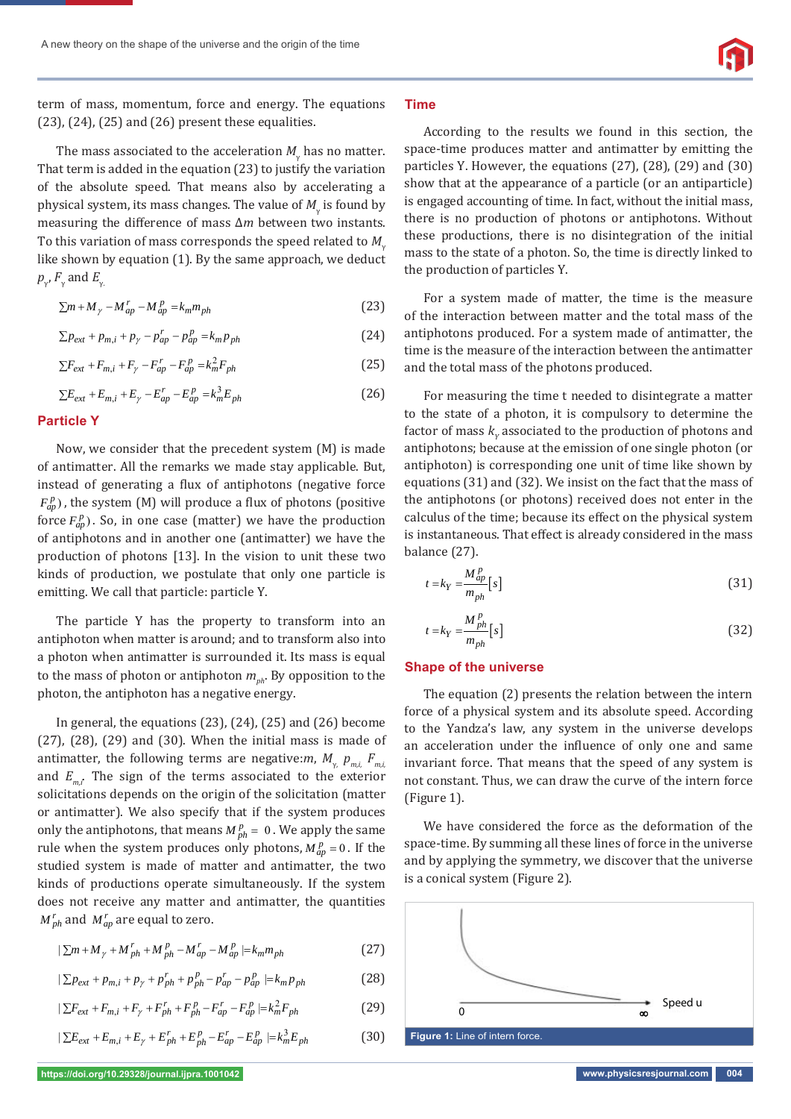term of mass, momentum, force and energy. The equations (23), (24), (25) and (26) present these equalities.

The mass associated to the acceleration  $M_{\gamma}$  has no matter. That term is added in the equation (23) to justify the variation of the absolute speed. That means also by accelerating a physical system, its mass changes. The value of  $M_{\gamma}$  is found by measuring the difference of mass ∆*m* between two instants. To this variation of mass corresponds the speed related to *M*<sup>γ</sup> like shown by equation (1). By the same approach, we deduct  $p_{\gamma}$ ,  $F_{\gamma}$  and  $E_{\gamma}$ .

$$
\sum m + M_{\gamma} - M_{ap}^r - M_{ap}^p = k_m m_{ph} \tag{23}
$$

$$
\sum p_{ext} + p_{m,i} + p_{\gamma} - p_{ap}^r - p_{ap}^p = k_m p_{ph}
$$
 (24)

$$
\sum F_{ext} + F_{m,i} + F_{\gamma} - F_{ap}^r - F_{ap}^p = k_m^2 F_{ph} \tag{25}
$$

$$
\sum E_{ext} + E_{m,i} + E_{\gamma} - E_{ap}^r - E_{ap}^p = k_m^3 E_{ph}
$$
 (26)

#### **Particle Y**

Now, we consider that the precedent system (M) is made of antimatter. All the remarks we made stay applicable. But, instead of generating a flux of antiphotons (negative force  $F_{ap}^p$ ), the system (M) will produce a flux of photons (positive force  $F_{ap}^p$ ). So, in one case (matter) we have the production of antiphotons and in another one (antimatter) we have the production of photons [13]. In the vision to unit these two kinds of production, we postulate that only one particle is emitting. We call that particle: particle Y.

The particle Y has the property to transform into an antiphoton when matter is around; and to transform also into a photon when antimatter is surrounded it. Its mass is equal to the mass of photon or antiphoton  $m_{nb}$ . By opposition to the photon, the antiphoton has a negative energy.

In general, the equations  $(23)$ ,  $(24)$ ,  $(25)$  and  $(26)$  become (27), (28), (29) and (30). When the initial mass is made of antimatter, the following terms are negative:*m*,  $M_{\gamma_{\nu}}$   $p_{m,i}$   $F_{m,i}$ and  $E_{m,i}$ . The sign of the terms associated to the exterior solicitations depends on the origin of the solicitation (matter or antimatter). We also specify that if the system produces only the antiphotons, that means  $M_{ph}^p = 0$ . We apply the same rule when the system produces only photons,  $M_{ap}^p = 0$ . If the studied system is made of matter and antimatter, the two kinds of productions operate simultaneously. If the system does not receive any matter and antimatter, the quantities  $M_{ph}^r$  and  $M_{ap}^r$  are equal to zero.

$$
|\sum m + M_{\gamma} + M_{ph}^r + M_{ph}^p - M_{ap}^r - M_{ap}^p| = k_m m_{ph}
$$
 (27)

$$
|\sum p_{ext} + p_{m,i} + p_{\gamma} + p_{ph}^r + p_{ph}^p - p_{ap}^r - p_{ap}^p| = k_m p_{ph}
$$
 (28)

$$
|\sum F_{ext} + F_{m,i} + F_{\gamma} + F_{ph}^r + F_{ph}^p - F_{ap}^r - F_{ap}^p| = k_m^2 F_{ph}
$$
 (29)

$$
|\sum E_{ext} + E_{m,i} + E_{\gamma} + E_{ph}^r + E_{ph}^p - E_{ap}^r - E_{ap}^p| = k_m^3 E_{ph}
$$
 (30)

#### **Time**

According to the results we found in this section, the space-time produces matter and antimatter by emitting the particles Y. However, the equations (27), (28), (29) and (30) show that at the appearance of a particle (or an antiparticle) is engaged accounting of time. In fact, without the initial mass, there is no production of photons or antiphotons. Without these productions, there is no disintegration of the initial mass to the state of a photon. So, the time is directly linked to the production of particles Y.

For a system made of matter, the time is the measure of the interaction between matter and the total mass of the antiphotons produced. For a system made of antimatter, the time is the measure of the interaction between the antimatter and the total mass of the photons produced.

For measuring the time t needed to disintegrate a matter to the state of a photon, it is compulsory to determine the factor of mass  $k_{y}$  associated to the production of photons and antiphotons; because at the emission of one single photon (or antiphoton) is corresponding one unit of time like shown by equations (31) and (32). We insist on the fact that the mass of the antiphotons (or photons) received does not enter in the calculus of the time; because its effect on the physical system is instantaneous. That effect is already considered in the mass balance (27).

$$
t = k_Y = \frac{M_{ap}^p}{m_{ph}} [s]
$$
 (31)

$$
t = k_Y = \frac{M_{ph}^p}{m_{ph}} [s]
$$
 (32)

#### **Shape of the universe**

The equation (2) presents the relation between the intern force of a physical system and its absolute speed. According to the Yandza's law, any system in the universe develops an acceleration under the influence of only one and same invariant force. That means that the speed of any system is not constant. Thus, we can draw the curve of the intern force (Figure 1).

We have considered the force as the deformation of the space-time. By summing all these lines of force in the universe and by applying the symmetry, we discover that the universe is a conical system (Figure 2).

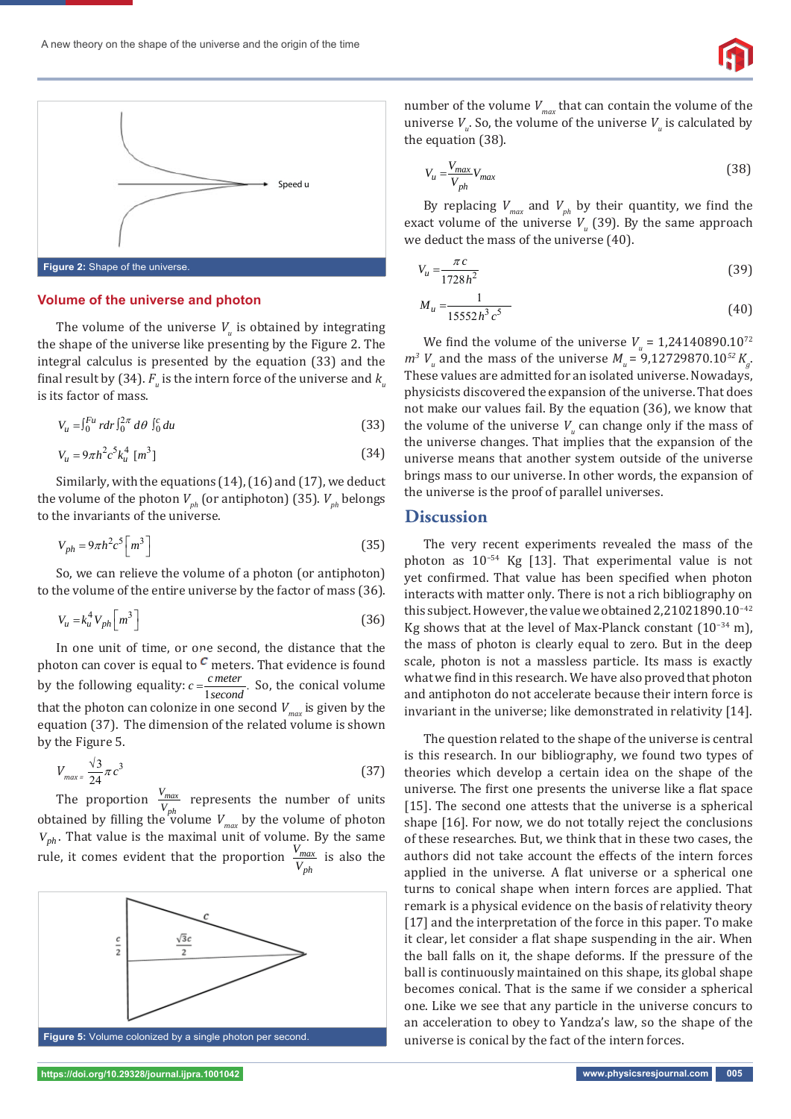

#### **Volume of the universe and photon**

The volume of the universe  $V_u$  is obtained by integrating the shape of the universe like presenting by the Figure 2. The integral calculus is presented by the equation (33) and the final result by (34).  $F_{_u}$  is the intern force of the universe and  $k_{_u}$ is its factor of mass.

$$
V_u = \int_0^{Fu} r dr \int_0^{2\pi} d\theta \int_0^c du \tag{33}
$$

$$
V_u = 9\pi h^2 c^5 k_u^4 \, [m^3] \tag{34}
$$

Similarly, with the equations (14), (16) and (17), we deduct the volume of the photon  $V_{ph}$  (or antiphoton) (35).  $V_{ph}$  belongs to the invariants of the universe.

$$
V_{ph} = 9\pi h^2 c^5 \left[ m^3 \right] \tag{35}
$$

So, we can relieve the volume of a photon (or antiphoton) to the volume of the entire universe by the factor of mass (36).

$$
V_u = k_u^4 V_{ph} \left[ m^3 \right] \tag{36}
$$

In one unit of time, or one second, the distance that the photon can cover is equal to  $\epsilon$  meters. That evidence is found by the following equality:  $c = \frac{c \cdot meter}{1 \cdot second}$ . So, the conical volume that the photon can colonize in one second  $V_{max}$  is given by the equation (37). The dimension of the related volume is shown by the Figure 5.

$$
V_{max} = \frac{\sqrt{3}}{24} \pi c^3
$$
 (37)

The proportion  $\frac{V_{max}}{V_{ph}}$  $\frac{V_{max}}{V_{ph}}$  represents the number of units obtained by filling the volume  $V_{max}$  by the volume of photon  $V_{ph}$ . That value is the maximal unit of volume. By the same rule, it comes evident that the proportion  $\frac{V_{max}}{V}$ *ph*  $\frac{v_{max}}{V_{ph}}$  is also the



number of the volume  $V_{max}$  that can contain the volume of the universe  $V_u$ . So, the volume of the universe  $V_u$  is calculated by the equation (38).

$$
V_u = \frac{V_{max}}{V_{ph}} V_{max}
$$
 (38)

By replacing  $V_{max}$  and  $V_{ph}$  by their quantity, we find the exact volume of the universe  $V_u$  (39). By the same approach we deduct the mass of the universe (40).

$$
V_u = \frac{\pi c}{1728h^2} \tag{39}
$$

$$
M_u = \frac{1}{15552h^3c^5} \tag{40}
$$

We find the volume of the universe  $V_u = 1,24140890.10^{72}$  $m^3$  *V<sub>u</sub>* and the mass of the universe  $M_u = 9,12729870.10^{52}$  *K<sub>g</sub>*. These values are admitted for an isolated universe. Nowadays, physicists discovered the expansion of the universe. That does not make our values fail. By the equation (36), we know that the volume of the universe  $V_{u}$  can change only if the mass of the universe changes. That implies that the expansion of the universe means that another system outside of the universe brings mass to our universe. In other words, the expansion of the universe is the proof of parallel universes.

### **Discussion**

The very recent experiments revealed the mass of the photon as 10−54 Kg [13]. That experimental value is not yet confirmed. That value has been specified when photon interacts with matter only. There is not a rich bibliography on this subject. However, the value we obtained 2,21021890.10−42 Kg shows that at the level of Max-Planck constant (10−34 m), the mass of photon is clearly equal to zero. But in the deep scale, photon is not a massless particle. Its mass is exactly what we find in this research. We have also proved that photon and antiphoton do not accelerate because their intern force is invariant in the universe; like demonstrated in relativity [14].

The question related to the shape of the universe is central is this research. In our bibliography, we found two types of theories which develop a certain idea on the shape of the universe. The first one presents the universe like a flat space [15]. The second one attests that the universe is a spherical shape [16]. For now, we do not totally reject the conclusions of these researches. But, we think that in these two cases, the authors did not take account the effects of the intern forces applied in the universe. A flat universe or a spherical one turns to conical shape when intern forces are applied. That remark is a physical evidence on the basis of relativity theory [17] and the interpretation of the force in this paper. To make it clear, let consider a flat shape suspending in the air. When the ball falls on it, the shape deforms. If the pressure of the ball is continuously maintained on this shape, its global shape becomes conical. That is the same if we consider a spherical one. Like we see that any particle in the universe concurs to an acceleration to obey to Yandza's law, so the shape of the universe is conical by the fact of the intern forces.

**https://doi.org/10.29328/journal.ijpra.1001042 www.physicsresjournal.com 005**